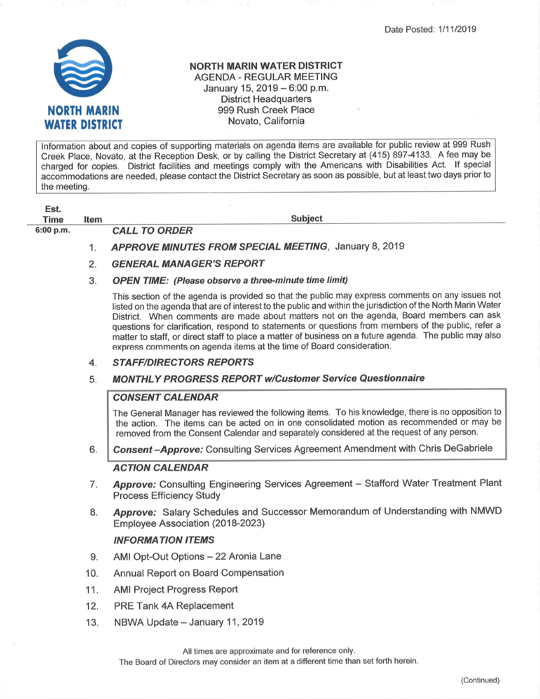Date Posted: 1/11/2019



## NORTH MARIN WATER DISTRICT AGENDA - REGULAR MEETING January 15, 2019  $-6:00$  p.m. District Headquarters 999 Rush Creek Place Novato, California

Information about and copies of supporting materials on agenda items are available for public review at 999 Rush Creek Place, Novato, at the Reception Desk, or by calling the District Secretary at (415) 897-4133. A fee may be charged for copies. District facilities and meetings comply with the Americans with Disabilities Act. If specia accommodations are needed, please contact the District Secretary as soon as possible, but at least two days prior to the meeting.

| Est.      |             |                                                                                                                                                                                                                                                                                                                                                                                                                                                                                                                                                                                                      |
|-----------|-------------|------------------------------------------------------------------------------------------------------------------------------------------------------------------------------------------------------------------------------------------------------------------------------------------------------------------------------------------------------------------------------------------------------------------------------------------------------------------------------------------------------------------------------------------------------------------------------------------------------|
| Time      | <b>Item</b> | <b>Subject</b>                                                                                                                                                                                                                                                                                                                                                                                                                                                                                                                                                                                       |
| 6:00 p.m. |             | <b>CALL TO ORDER</b>                                                                                                                                                                                                                                                                                                                                                                                                                                                                                                                                                                                 |
|           |             | APPROVE MINUTES FROM SPECIAL MEETING, January 8, 2019                                                                                                                                                                                                                                                                                                                                                                                                                                                                                                                                                |
|           | 2.          | <b>GENERAL MANAGER'S REPORT</b>                                                                                                                                                                                                                                                                                                                                                                                                                                                                                                                                                                      |
|           | 3.          | <b>OPEN TIME:</b> (Please observe a three-minute time limit)                                                                                                                                                                                                                                                                                                                                                                                                                                                                                                                                         |
|           |             | This section of the agenda is provided so that the public may express comments on any issues not<br>listed on the agenda that are of interest to the public and within the jurisdiction of the North Marin Water<br>District. When comments are made about matters not on the agenda, Board members can ask<br>questions for clarification, respond to statements or questions from members of the public, refer a<br>matter to staff, or direct staff to place a matter of business on a future agenda. The public may also<br>express comments on agenda items at the time of Board consideration. |

## 4. STAFF/DIRECTORS REPORTS

# 5. MONTHLY PROGRESS REPORT w/Customer Service Questionnaire

#### **CONSENT CALENDAR**

The General Manager has reviewed the following items. To his knowledge, there is no opposition to the action. The items can be acted on in one consolidated motion as recommended or may be removed from the Consent Calendar and separately considered at the request of any person.

Consent-Approve: Consulting Services Agreement Amendment with Chris DeGabriele 6

#### ACTION CALENDAR

- Approve: Consulting Engineering Services Agreement Stafford Water Treatment Plant Process Efficiency Study 7.
- Approve: Salary Schedules and Successor Memorandum of Understanding with NMWD Employee Association (2018-2023) 8.

#### INFORMATION ITEMS

- AMI Opt-Out Options 22 Aronia Lane 9.
- Annual Report on Board Compensation 10.
- AMI Project Progress Report 11.
- PRE Tank 4A Replacement 12.
- NBWA Update January 11, 2019 13.

All times are approximate and for reference only.